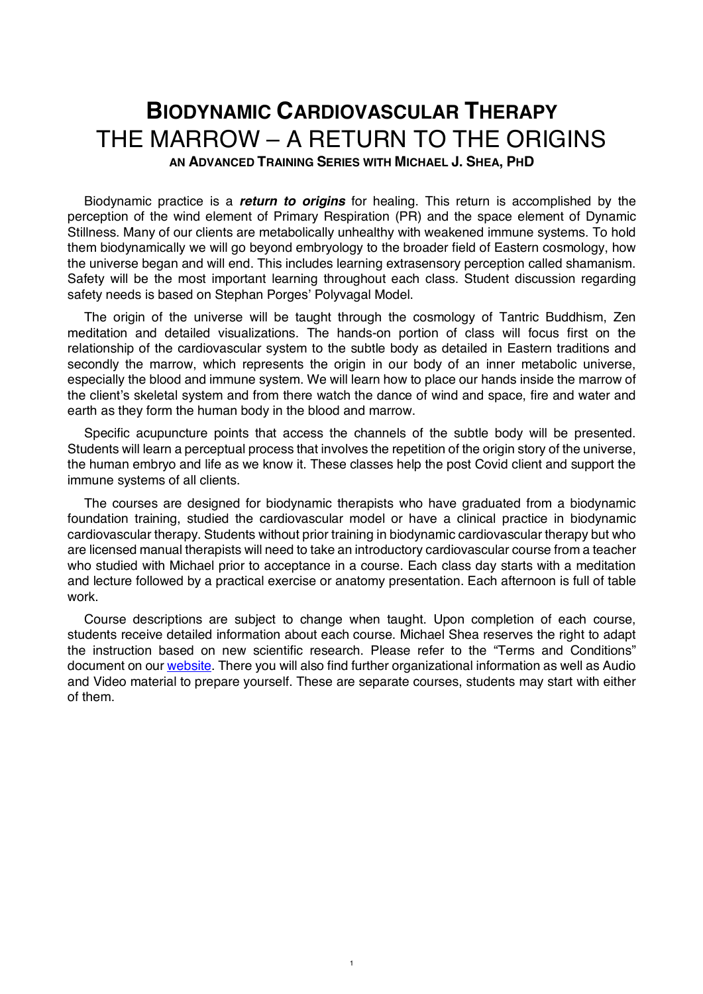# **BIODYNAMIC CARDIOVASCULAR THERAPY** THE MARROW – A RETURN TO THE ORIGINS

**AN ADVANCED TRAINING SERIES WITH MICHAEL J. SHEA, PHD**

Biodynamic practice is a *return to origins* for healing. This return is accomplished by the perception of the wind element of Primary Respiration (PR) and the space element of Dynamic Stillness. Many of our clients are metabolically unhealthy with weakened immune systems. To hold them biodynamically we will go beyond embryology to the broader field of Eastern cosmology, how the universe began and will end. This includes learning extrasensory perception called shamanism. Safety will be the most important learning throughout each class. Student discussion regarding safety needs is based on Stephan Porges' Polyvagal Model.

The origin of the universe will be taught through the cosmology of Tantric Buddhism, Zen meditation and detailed visualizations. The hands-on portion of class will focus first on the relationship of the cardiovascular system to the subtle body as detailed in Eastern traditions and secondly the marrow, which represents the origin in our body of an inner metabolic universe, especially the blood and immune system. We will learn how to place our hands inside the marrow of the client's skeletal system and from there watch the dance of wind and space, fire and water and earth as they form the human body in the blood and marrow.

Specific acupuncture points that access the channels of the subtle body will be presented. Students will learn a perceptual process that involves the repetition of the origin story of the universe, the human embryo and life as we know it. These classes help the post Covid client and support the immune systems of all clients.

The courses are designed for biodynamic therapists who have graduated from a biodynamic foundation training, studied the cardiovascular model or have a clinical practice in biodynamic cardiovascular therapy. Students without prior training in biodynamic cardiovascular therapy but who are licensed manual therapists will need to take an introductory cardiovascular course from a teacher who studied with Michael prior to acceptance in a course. Each class day starts with a meditation and lecture followed by a practical exercise or anatomy presentation. Each afternoon is full of table work.

Course descriptions are subject to change when taught. Upon completion of each course, students receive detailed information about each course. Michael Shea reserves the right to adapt the instruction based on new scientific research. Please refer to the "Terms and Conditions" document on our website. There you will also find further organizational information as well as Audio and Video material to prepare yourself. These are separate courses, students may start with either of them.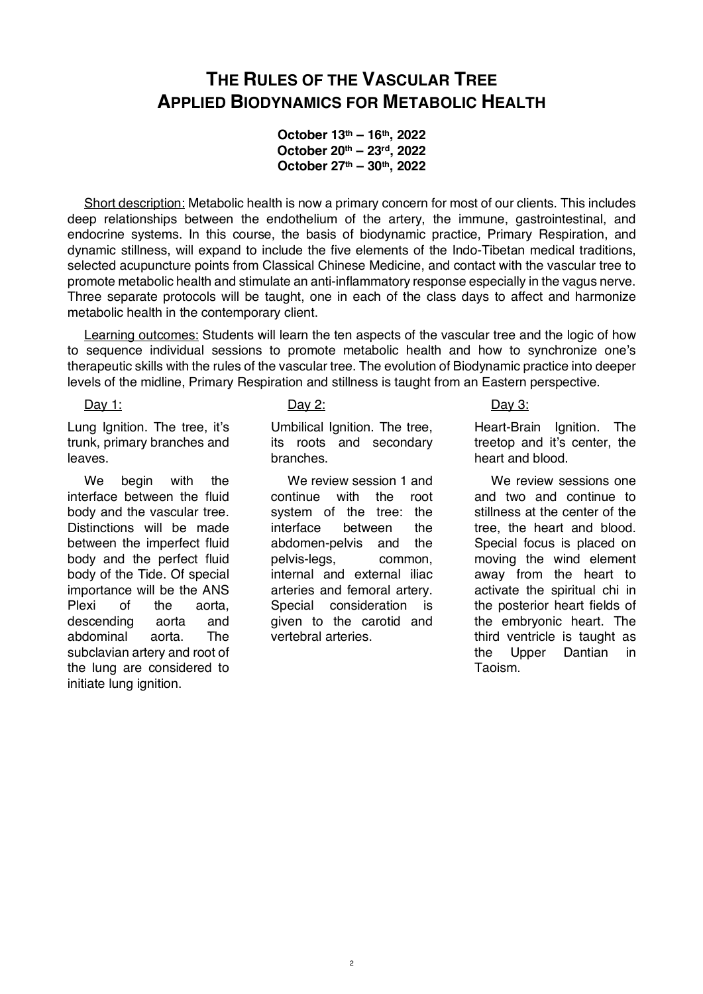# **THE RULES OF THE VASCULAR TREE APPLIED BIODYNAMICS FOR METABOLIC HEALTH**

**October 13th – 16th, 2022 October 20th – 23rd, 2022 October 27th – 30th, 2022**

Short description: Metabolic health is now a primary concern for most of our clients. This includes deep relationships between the endothelium of the artery, the immune, gastrointestinal, and endocrine systems. In this course, the basis of biodynamic practice, Primary Respiration, and dynamic stillness, will expand to include the five elements of the Indo-Tibetan medical traditions, selected acupuncture points from Classical Chinese Medicine, and contact with the vascular tree to promote metabolic health and stimulate an anti-inflammatory response especially in the vagus nerve. Three separate protocols will be taught, one in each of the class days to affect and harmonize metabolic health in the contemporary client.

Learning outcomes: Students will learn the ten aspects of the vascular tree and the logic of how to sequence individual sessions to promote metabolic health and how to synchronize one's therapeutic skills with the rules of the vascular tree. The evolution of Biodynamic practice into deeper levels of the midline, Primary Respiration and stillness is taught from an Eastern perspective.

Day 1:

Lung Ignition. The tree, it's trunk, primary branches and leaves.

We begin with the interface between the fluid body and the vascular tree. Distinctions will be made between the imperfect fluid body and the perfect fluid body of the Tide. Of special importance will be the ANS Plexi of the aorta, descending aorta and abdominal aorta. The subclavian artery and root of the lung are considered to initiate lung ignition.

### Day 2:

Umbilical Ignition. The tree, its roots and secondary branches.

We review session 1 and continue with the root system of the tree: the interface between the abdomen-pelvis and the pelvis-legs, common, internal and external iliac arteries and femoral artery. Special consideration is given to the carotid and vertebral arteries.

# Day 3:

Heart-Brain Ignition. The treetop and it's center, the heart and blood.

We review sessions one and two and continue to stillness at the center of the tree, the heart and blood. Special focus is placed on moving the wind element away from the heart to activate the spiritual chi in the posterior heart fields of the embryonic heart. The third ventricle is taught as the Upper Dantian in Taoism.